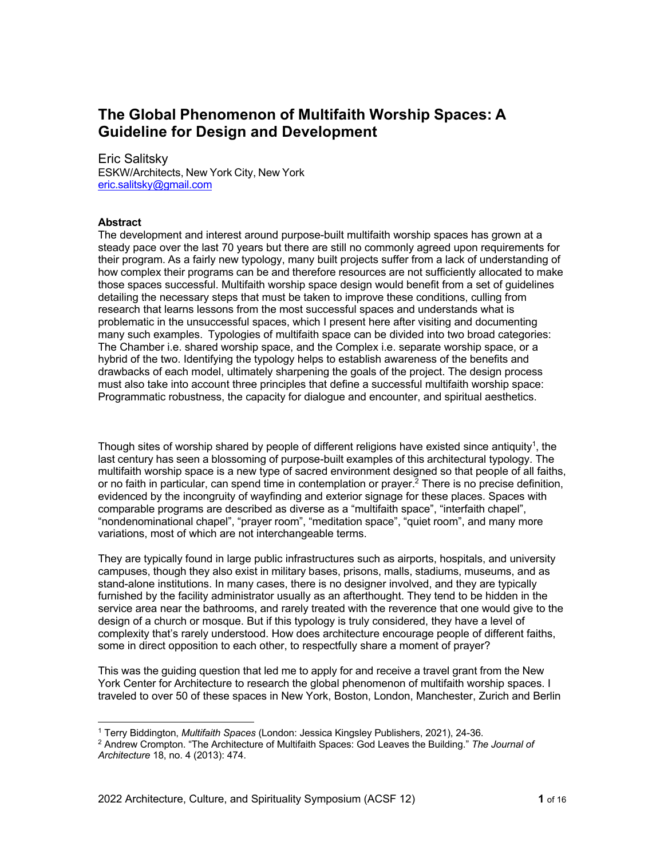# **The Global Phenomenon of Multifaith Worship Spaces: A Guideline for Design and Development**

## Eric Salitsky

ESKW/Architects, New York City, New York eric.salitsky@gmail.com

## **Abstract**

The development and interest around purpose-built multifaith worship spaces has grown at a steady pace over the last 70 years but there are still no commonly agreed upon requirements for their program. As a fairly new typology, many built projects suffer from a lack of understanding of how complex their programs can be and therefore resources are not sufficiently allocated to make those spaces successful. Multifaith worship space design would benefit from a set of guidelines detailing the necessary steps that must be taken to improve these conditions, culling from research that learns lessons from the most successful spaces and understands what is problematic in the unsuccessful spaces, which I present here after visiting and documenting many such examples. Typologies of multifaith space can be divided into two broad categories: The Chamber i.e. shared worship space, and the Complex i.e. separate worship space, or a hybrid of the two. Identifying the typology helps to establish awareness of the benefits and drawbacks of each model, ultimately sharpening the goals of the project. The design process must also take into account three principles that define a successful multifaith worship space: Programmatic robustness, the capacity for dialogue and encounter, and spiritual aesthetics.

Though sites of worship shared by people of different religions have existed since antiquity<sup>1</sup>, the last century has seen a blossoming of purpose-built examples of this architectural typology. The multifaith worship space is a new type of sacred environment designed so that people of all faiths, or no faith in particular, can spend time in contemplation or prayer.<sup>2</sup> There is no precise definition, evidenced by the incongruity of wayfinding and exterior signage for these places. Spaces with comparable programs are described as diverse as a "multifaith space", "interfaith chapel", "nondenominational chapel", "prayer room", "meditation space", "quiet room", and many more variations, most of which are not interchangeable terms.

They are typically found in large public infrastructures such as airports, hospitals, and university campuses, though they also exist in military bases, prisons, malls, stadiums, museums, and as stand-alone institutions. In many cases, there is no designer involved, and they are typically furnished by the facility administrator usually as an afterthought. They tend to be hidden in the service area near the bathrooms, and rarely treated with the reverence that one would give to the design of a church or mosque. But if this typology is truly considered, they have a level of complexity that's rarely understood. How does architecture encourage people of different faiths, some in direct opposition to each other, to respectfully share a moment of prayer?

This was the guiding question that led me to apply for and receive a travel grant from the New York Center for Architecture to research the global phenomenon of multifaith worship spaces. I traveled to over 50 of these spaces in New York, Boston, London, Manchester, Zurich and Berlin

<sup>1</sup> Terry Biddington, *Multifaith Spaces* (London: Jessica Kingsley Publishers, 2021), 24-36.

<sup>2</sup> Andrew Crompton. "The Architecture of Multifaith Spaces: God Leaves the Building." *The Journal of Architecture* 18, no. 4 (2013): 474.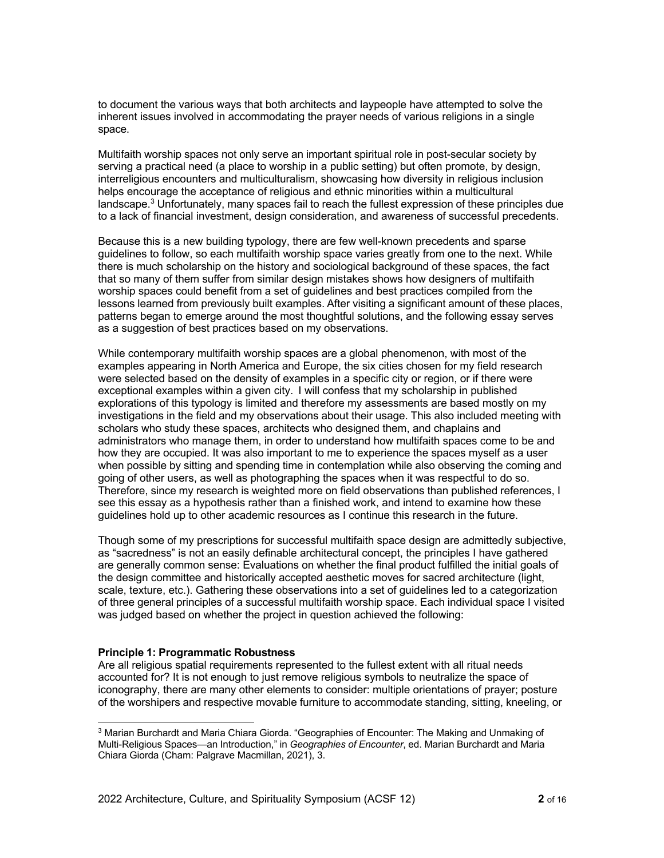to document the various ways that both architects and laypeople have attempted to solve the inherent issues involved in accommodating the prayer needs of various religions in a single space.

Multifaith worship spaces not only serve an important spiritual role in post-secular society by serving a practical need (a place to worship in a public setting) but often promote, by design, interreligious encounters and multiculturalism, showcasing how diversity in religious inclusion helps encourage the acceptance of religious and ethnic minorities within a multicultural landscape.3 Unfortunately, many spaces fail to reach the fullest expression of these principles due to a lack of financial investment, design consideration, and awareness of successful precedents.

Because this is a new building typology, there are few well-known precedents and sparse guidelines to follow, so each multifaith worship space varies greatly from one to the next. While there is much scholarship on the history and sociological background of these spaces, the fact that so many of them suffer from similar design mistakes shows how designers of multifaith worship spaces could benefit from a set of guidelines and best practices compiled from the lessons learned from previously built examples. After visiting a significant amount of these places, patterns began to emerge around the most thoughtful solutions, and the following essay serves as a suggestion of best practices based on my observations.

While contemporary multifaith worship spaces are a global phenomenon, with most of the examples appearing in North America and Europe, the six cities chosen for my field research were selected based on the density of examples in a specific city or region, or if there were exceptional examples within a given city. I will confess that my scholarship in published explorations of this typology is limited and therefore my assessments are based mostly on my investigations in the field and my observations about their usage. This also included meeting with scholars who study these spaces, architects who designed them, and chaplains and administrators who manage them, in order to understand how multifaith spaces come to be and how they are occupied. It was also important to me to experience the spaces myself as a user when possible by sitting and spending time in contemplation while also observing the coming and going of other users, as well as photographing the spaces when it was respectful to do so. Therefore, since my research is weighted more on field observations than published references, I see this essay as a hypothesis rather than a finished work, and intend to examine how these guidelines hold up to other academic resources as I continue this research in the future.

Though some of my prescriptions for successful multifaith space design are admittedly subjective, as "sacredness" is not an easily definable architectural concept, the principles I have gathered are generally common sense: Evaluations on whether the final product fulfilled the initial goals of the design committee and historically accepted aesthetic moves for sacred architecture (light, scale, texture, etc.). Gathering these observations into a set of guidelines led to a categorization of three general principles of a successful multifaith worship space. Each individual space I visited was judged based on whether the project in question achieved the following:

## **Principle 1: Programmatic Robustness**

Are all religious spatial requirements represented to the fullest extent with all ritual needs accounted for? It is not enough to just remove religious symbols to neutralize the space of iconography, there are many other elements to consider: multiple orientations of prayer; posture of the worshipers and respective movable furniture to accommodate standing, sitting, kneeling, or

<sup>3</sup> Marian Burchardt and Maria Chiara Giorda. "Geographies of Encounter: The Making and Unmaking of Multi-Religious Spaces—an Introduction," in *Geographies of Encounter*, ed. Marian Burchardt and Maria Chiara Giorda (Cham: Palgrave Macmillan, 2021), 3.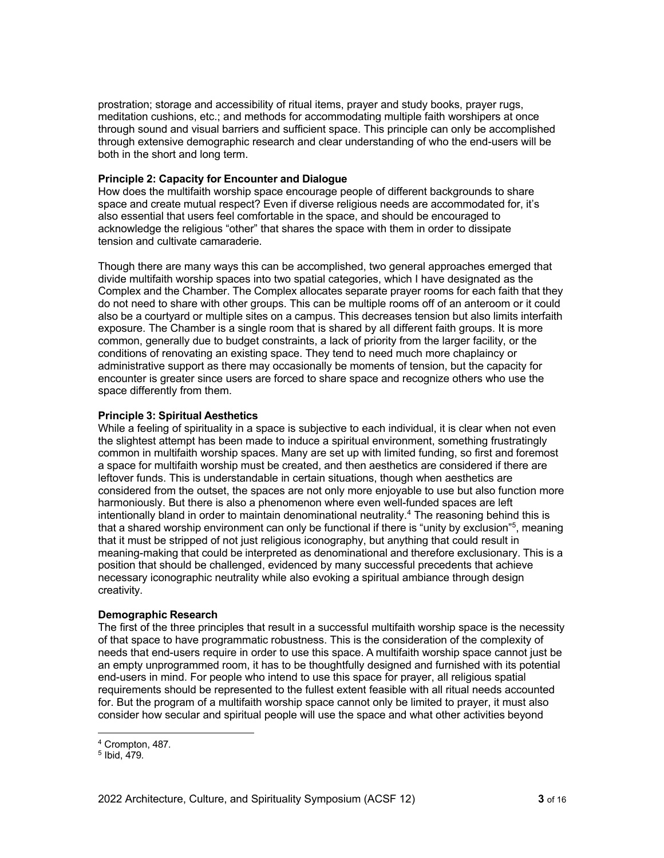prostration; storage and accessibility of ritual items, prayer and study books, prayer rugs, meditation cushions, etc.; and methods for accommodating multiple faith worshipers at once through sound and visual barriers and sufficient space. This principle can only be accomplished through extensive demographic research and clear understanding of who the end-users will be both in the short and long term.

## **Principle 2: Capacity for Encounter and Dialogue**

How does the multifaith worship space encourage people of different backgrounds to share space and create mutual respect? Even if diverse religious needs are accommodated for, it's also essential that users feel comfortable in the space, and should be encouraged to acknowledge the religious "other" that shares the space with them in order to dissipate tension and cultivate camaraderie.

Though there are many ways this can be accomplished, two general approaches emerged that divide multifaith worship spaces into two spatial categories, which I have designated as the Complex and the Chamber. The Complex allocates separate prayer rooms for each faith that they do not need to share with other groups. This can be multiple rooms off of an anteroom or it could also be a courtyard or multiple sites on a campus. This decreases tension but also limits interfaith exposure. The Chamber is a single room that is shared by all different faith groups. It is more common, generally due to budget constraints, a lack of priority from the larger facility, or the conditions of renovating an existing space. They tend to need much more chaplaincy or administrative support as there may occasionally be moments of tension, but the capacity for encounter is greater since users are forced to share space and recognize others who use the space differently from them.

## **Principle 3: Spiritual Aesthetics**

While a feeling of spirituality in a space is subjective to each individual, it is clear when not even the slightest attempt has been made to induce a spiritual environment, something frustratingly common in multifaith worship spaces. Many are set up with limited funding, so first and foremost a space for multifaith worship must be created, and then aesthetics are considered if there are leftover funds. This is understandable in certain situations, though when aesthetics are considered from the outset, the spaces are not only more enjoyable to use but also function more harmoniously. But there is also a phenomenon where even well-funded spaces are left intentionally bland in order to maintain denominational neutrality.4 The reasoning behind this is that a shared worship environment can only be functional if there is "unity by exclusion"5, meaning that it must be stripped of not just religious iconography, but anything that could result in meaning-making that could be interpreted as denominational and therefore exclusionary. This is a position that should be challenged, evidenced by many successful precedents that achieve necessary iconographic neutrality while also evoking a spiritual ambiance through design creativity.

## **Demographic Research**

The first of the three principles that result in a successful multifaith worship space is the necessity of that space to have programmatic robustness. This is the consideration of the complexity of needs that end-users require in order to use this space. A multifaith worship space cannot just be an empty unprogrammed room, it has to be thoughtfully designed and furnished with its potential end-users in mind. For people who intend to use this space for prayer, all religious spatial requirements should be represented to the fullest extent feasible with all ritual needs accounted for. But the program of a multifaith worship space cannot only be limited to prayer, it must also consider how secular and spiritual people will use the space and what other activities beyond

<sup>4</sup> Crompton, 487.

<sup>5</sup> Ibid, 479.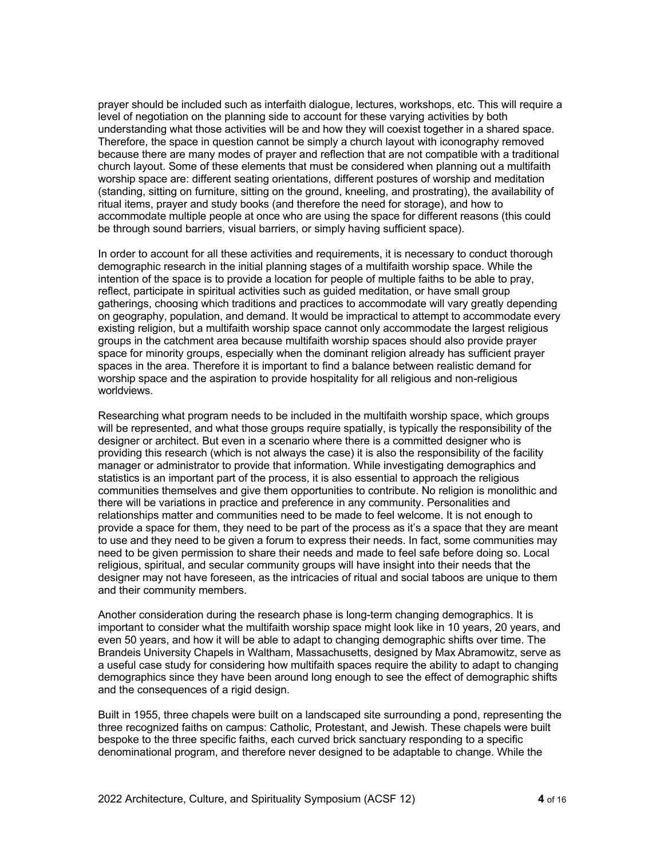prayer should be included such as interfaith dialogue, lectures, workshops, etc. This will require a level of negotiation on the planning side to account for these varying activities by both understanding what those activities will be and how they will coexist together in a shared space. Therefore, the space in question cannot be simply a church layout with iconography removed because there are many modes of prayer and reflection that are not compatible with a traditional church layout. Some of these elements that must be considered when planning out a multifaith worship space are: different seating orientations, different postures of worship and meditation (standing, sitting on furniture, sitting on the ground, kneeling, and prostrating), the availability of ritual items, prayer and study books (and therefore the need for storage), and how to accommodate multiple people at once who are using the space for different reasons (this could be through sound barriers, visual barriers, or simply having sufficient space).

In order to account for all these activities and requirements, it is necessary to conduct thorough demographic research in the initial planning stages of a multifaith worship space. While the intention of the space is to provide a location for people of multiple faiths to be able to pray, reflect, participate in spiritual activities such as guided meditation, or have small group gatherings, choosing which traditions and practices to accommodate will vary greatly depending on geography, population, and demand. It would be impractical to attempt to accommodate every existing religion, but a multifaith worship space cannot only accommodate the largest religious groups in the catchment area because multifaith worship spaces should also provide prayer space for minority groups, especially when the dominant religion already has sufficient prayer spaces in the area. Therefore it is important to find a balance between realistic demand for worship space and the aspiration to provide hospitality for all religious and non-religious worldviews.

Researching what program needs to be included in the multifaith worship space, which groups will be represented, and what those groups require spatially, is typically the responsibility of the designer or architect. But even in a scenario where there is a committed designer who is providing this research (which is not always the case) it is also the responsibility of the facility manager or administrator to provide that information. While investigating demographics and statistics is an important part of the process, it is also essential to approach the religious communities themselves and give them opportunities to contribute. No religion is monolithic and there will be variations in practice and preference in any community. Personalities and relationships matter and communities need to be made to feel welcome. It is not enough to provide a space for them, they need to be part of the process as it's a space that they are meant to use and they need to be given a forum to express their needs. In fact, some communities may need to be given permission to share their needs and made to feel safe before doing so. Local religious, spiritual, and secular community groups will have insight into their needs that the designer may not have foreseen, as the intricacies of ritual and social taboos are unique to them and their community members.

Another consideration during the research phase is long-term changing demographics. It is important to consider what the multifaith worship space might look like in 10 years, 20 years, and even 50 years, and how it will be able to adapt to changing demographic shifts over time. The Brandeis University Chapels in Waltham, Massachusetts, designed by Max Abramowitz, serve as a useful case study for considering how multifaith spaces require the ability to adapt to changing demographics since they have been around long enough to see the effect of demographic shifts and the consequences of a rigid design.

Built in 1955, three chapels were built on a landscaped site surrounding a pond, representing the three recognized faiths on campus: Catholic, Protestant, and Jewish. These chapels were built bespoke to the three specific faiths, each curved brick sanctuary responding to a specific denominational program, and therefore never designed to be adaptable to change. While the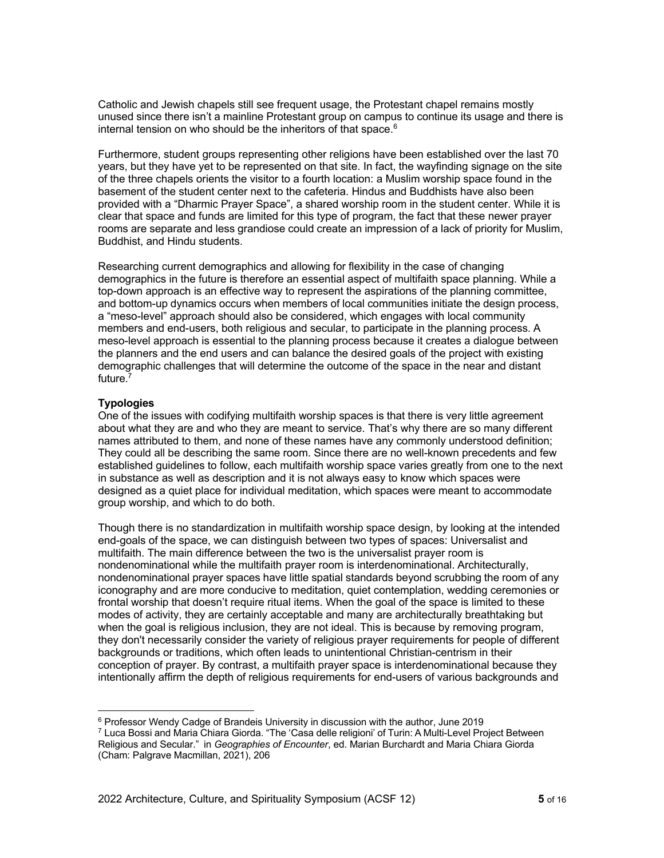Catholic and Jewish chapels still see frequent usage, the Protestant chapel remains mostly unused since there isn't a mainline Protestant group on campus to continue its usage and there is internal tension on who should be the inheritors of that space. $6$ 

Furthermore, student groups representing other religions have been established over the last 70 years, but they have yet to be represented on that site. In fact, the wayfinding signage on the site of the three chapels orients the visitor to a fourth location: a Muslim worship space found in the basement of the student center next to the cafeteria. Hindus and Buddhists have also been provided with a "Dharmic Prayer Space", a shared worship room in the student center. While it is clear that space and funds are limited for this type of program, the fact that these newer prayer rooms are separate and less grandiose could create an impression of a lack of priority for Muslim, Buddhist, and Hindu students.

Researching current demographics and allowing for flexibility in the case of changing demographics in the future is therefore an essential aspect of multifaith space planning. While a top-down approach is an effective way to represent the aspirations of the planning committee, and bottom-up dynamics occurs when members of local communities initiate the design process, a "meso-level" approach should also be considered, which engages with local community members and end-users, both religious and secular, to participate in the planning process. A meso-level approach is essential to the planning process because it creates a dialogue between the planners and the end users and can balance the desired goals of the project with existing demographic challenges that will determine the outcome of the space in the near and distant future.<sup>7</sup>

## **Typologies**

One of the issues with codifying multifaith worship spaces is that there is very little agreement about what they are and who they are meant to service. That's why there are so many different names attributed to them, and none of these names have any commonly understood definition; They could all be describing the same room. Since there are no well-known precedents and few established guidelines to follow, each multifaith worship space varies greatly from one to the next in substance as well as description and it is not always easy to know which spaces were designed as a quiet place for individual meditation, which spaces were meant to accommodate group worship, and which to do both.

Though there is no standardization in multifaith worship space design, by looking at the intended end-goals of the space, we can distinguish between two types of spaces: Universalist and multifaith. The main difference between the two is the universalist prayer room is nondenominational while the multifaith prayer room is interdenominational. Architecturally, nondenominational prayer spaces have little spatial standards beyond scrubbing the room of any iconography and are more conducive to meditation, quiet contemplation, wedding ceremonies or frontal worship that doesn't require ritual items. When the goal of the space is limited to these modes of activity, they are certainly acceptable and many are architecturally breathtaking but when the goal is religious inclusion, they are not ideal. This is because by removing program, they don't necessarily consider the variety of religious prayer requirements for people of different backgrounds or traditions, which often leads to unintentional Christian-centrism in their conception of prayer. By contrast, a multifaith prayer space is interdenominational because they intentionally affirm the depth of religious requirements for end-users of various backgrounds and

 $6$  Professor Wendy Cadge of Brandeis University in discussion with the author, June 2019 <sup>7</sup> Luca Bossi and Maria Chiara Giorda. "The 'Casa delle religioni' of Turin: A Multi-Level Project Between Religious and Secular." in *Geographies of Encounter*, ed. Marian Burchardt and Maria Chiara Giorda (Cham: Palgrave Macmillan, 2021), 206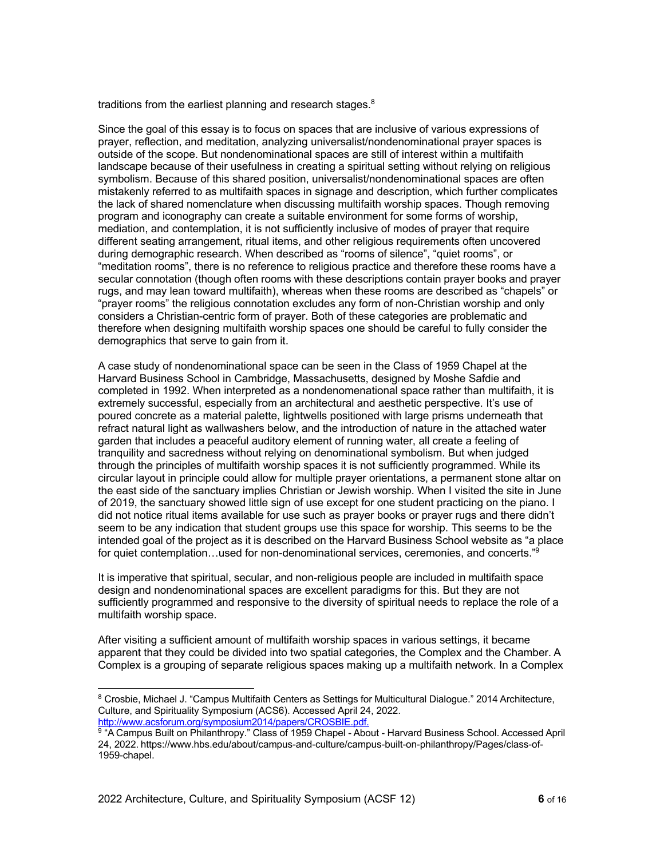traditions from the earliest planning and research stages.<sup>8</sup>

Since the goal of this essay is to focus on spaces that are inclusive of various expressions of prayer, reflection, and meditation, analyzing universalist/nondenominational prayer spaces is outside of the scope. But nondenominational spaces are still of interest within a multifaith landscape because of their usefulness in creating a spiritual setting without relying on religious symbolism. Because of this shared position, universalist/nondenominational spaces are often mistakenly referred to as multifaith spaces in signage and description, which further complicates the lack of shared nomenclature when discussing multifaith worship spaces. Though removing program and iconography can create a suitable environment for some forms of worship, mediation, and contemplation, it is not sufficiently inclusive of modes of prayer that require different seating arrangement, ritual items, and other religious requirements often uncovered during demographic research. When described as "rooms of silence", "quiet rooms", or "meditation rooms", there is no reference to religious practice and therefore these rooms have a secular connotation (though often rooms with these descriptions contain prayer books and prayer rugs, and may lean toward multifaith), whereas when these rooms are described as "chapels" or "prayer rooms" the religious connotation excludes any form of non-Christian worship and only considers a Christian-centric form of prayer. Both of these categories are problematic and therefore when designing multifaith worship spaces one should be careful to fully consider the demographics that serve to gain from it.

A case study of nondenominational space can be seen in the Class of 1959 Chapel at the Harvard Business School in Cambridge, Massachusetts, designed by Moshe Safdie and completed in 1992. When interpreted as a nondenomenational space rather than multifaith, it is extremely successful, especially from an architectural and aesthetic perspective. It's use of poured concrete as a material palette, lightwells positioned with large prisms underneath that refract natural light as wallwashers below, and the introduction of nature in the attached water garden that includes a peaceful auditory element of running water, all create a feeling of tranquility and sacredness without relying on denominational symbolism. But when judged through the principles of multifaith worship spaces it is not sufficiently programmed. While its circular layout in principle could allow for multiple prayer orientations, a permanent stone altar on the east side of the sanctuary implies Christian or Jewish worship. When I visited the site in June of 2019, the sanctuary showed little sign of use except for one student practicing on the piano. I did not notice ritual items available for use such as prayer books or prayer rugs and there didn't seem to be any indication that student groups use this space for worship. This seems to be the intended goal of the project as it is described on the Harvard Business School website as "a place for quiet contemplation…used for non-denominational services, ceremonies, and concerts."9

It is imperative that spiritual, secular, and non-religious people are included in multifaith space design and nondenominational spaces are excellent paradigms for this. But they are not sufficiently programmed and responsive to the diversity of spiritual needs to replace the role of a multifaith worship space.

After visiting a sufficient amount of multifaith worship spaces in various settings, it became apparent that they could be divided into two spatial categories, the Complex and the Chamber. A Complex is a grouping of separate religious spaces making up a multifaith network. In a Complex

<sup>8</sup> Crosbie, Michael J. "Campus Multifaith Centers as Settings for Multicultural Dialogue." 2014 Architecture, Culture, and Spirituality Symposium (ACS6). Accessed April 24, 2022. http://www.acsforum.org/symposium2014/papers/CROSBIE.pdf.

<sup>9 &</sup>quot;A Campus Built on Philanthropy." Class of 1959 Chapel - About - Harvard Business School. Accessed April 24, 2022. https://www.hbs.edu/about/campus-and-culture/campus-built-on-philanthropy/Pages/class-of-1959-chapel.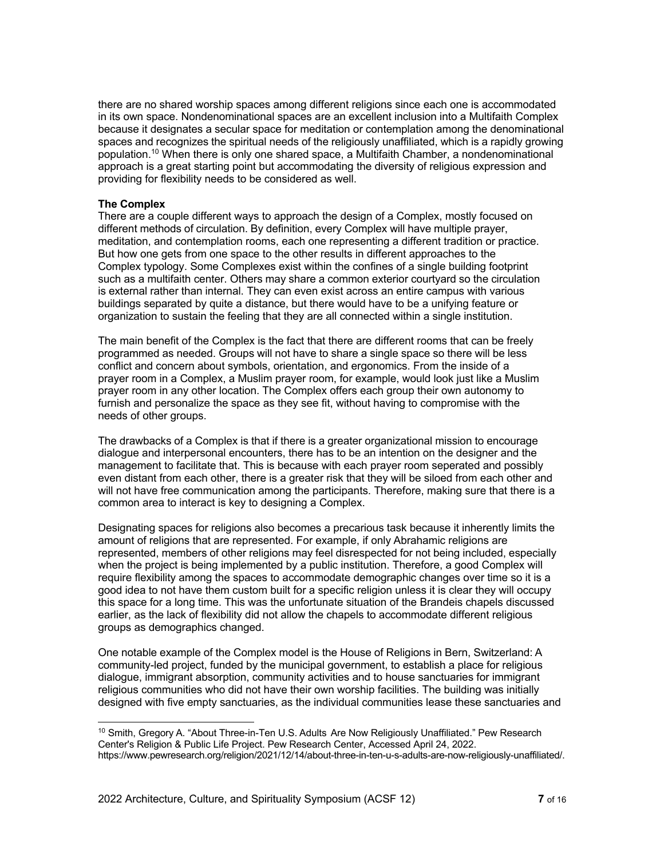there are no shared worship spaces among different religions since each one is accommodated in its own space. Nondenominational spaces are an excellent inclusion into a Multifaith Complex because it designates a secular space for meditation or contemplation among the denominational spaces and recognizes the spiritual needs of the religiously unaffiliated, which is a rapidly growing population. <sup>10</sup> When there is only one shared space, a Multifaith Chamber, a nondenominational approach is a great starting point but accommodating the diversity of religious expression and providing for flexibility needs to be considered as well.

#### **The Complex**

There are a couple different ways to approach the design of a Complex, mostly focused on different methods of circulation. By definition, every Complex will have multiple prayer, meditation, and contemplation rooms, each one representing a different tradition or practice. But how one gets from one space to the other results in different approaches to the Complex typology. Some Complexes exist within the confines of a single building footprint such as a multifaith center. Others may share a common exterior courtyard so the circulation is external rather than internal. They can even exist across an entire campus with various buildings separated by quite a distance, but there would have to be a unifying feature or organization to sustain the feeling that they are all connected within a single institution.

The main benefit of the Complex is the fact that there are different rooms that can be freely programmed as needed. Groups will not have to share a single space so there will be less conflict and concern about symbols, orientation, and ergonomics. From the inside of a prayer room in a Complex, a Muslim prayer room, for example, would look just like a Muslim prayer room in any other location. The Complex offers each group their own autonomy to furnish and personalize the space as they see fit, without having to compromise with the needs of other groups.

The drawbacks of a Complex is that if there is a greater organizational mission to encourage dialogue and interpersonal encounters, there has to be an intention on the designer and the management to facilitate that. This is because with each prayer room seperated and possibly even distant from each other, there is a greater risk that they will be siloed from each other and will not have free communication among the participants. Therefore, making sure that there is a common area to interact is key to designing a Complex.

Designating spaces for religions also becomes a precarious task because it inherently limits the amount of religions that are represented. For example, if only Abrahamic religions are represented, members of other religions may feel disrespected for not being included, especially when the project is being implemented by a public institution. Therefore, a good Complex will require flexibility among the spaces to accommodate demographic changes over time so it is a good idea to not have them custom built for a specific religion unless it is clear they will occupy this space for a long time. This was the unfortunate situation of the Brandeis chapels discussed earlier, as the lack of flexibility did not allow the chapels to accommodate different religious groups as demographics changed.

One notable example of the Complex model is the House of Religions in Bern, Switzerland: A community-led project, funded by the municipal government, to establish a place for religious dialogue, immigrant absorption, community activities and to house sanctuaries for immigrant religious communities who did not have their own worship facilities. The building was initially designed with five empty sanctuaries, as the individual communities lease these sanctuaries and

<sup>&</sup>lt;sup>10</sup> Smith, Gregory A. "About Three-in-Ten U.S. Adults Are Now Religiously Unaffiliated." Pew Research Center's Religion & Public Life Project. Pew Research Center, Accessed April 24, 2022. https://www.pewresearch.org/religion/2021/12/14/about-three-in-ten-u-s-adults-are-now-religiously-unaffiliated/.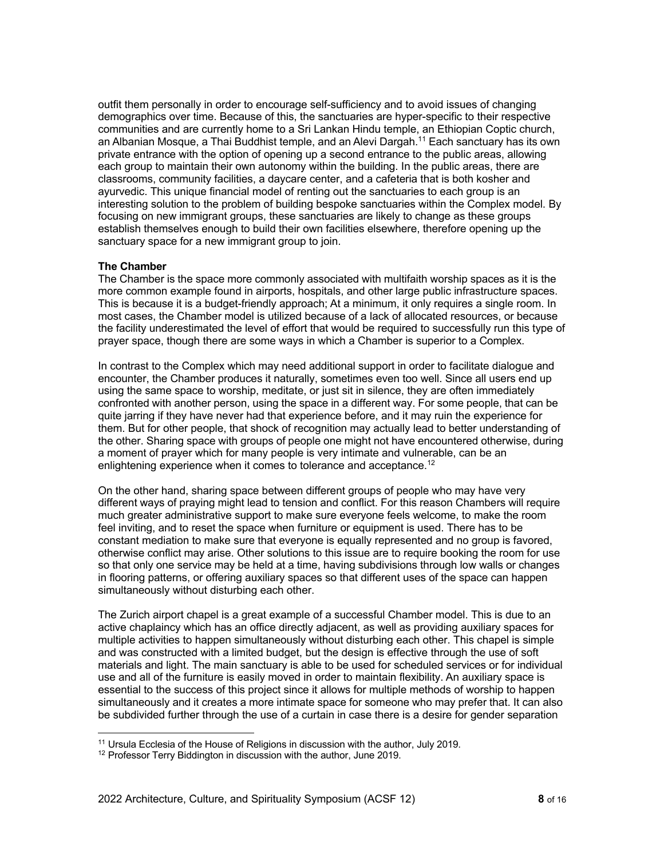outfit them personally in order to encourage self-sufficiency and to avoid issues of changing demographics over time. Because of this, the sanctuaries are hyper-specific to their respective communities and are currently home to a Sri Lankan Hindu temple, an Ethiopian Coptic church, an Albanian Mosque, a Thai Buddhist temple, and an Alevi Dargah.11 Each sanctuary has its own private entrance with the option of opening up a second entrance to the public areas, allowing each group to maintain their own autonomy within the building. In the public areas, there are classrooms, community facilities, a daycare center, and a cafeteria that is both kosher and ayurvedic. This unique financial model of renting out the sanctuaries to each group is an interesting solution to the problem of building bespoke sanctuaries within the Complex model. By focusing on new immigrant groups, these sanctuaries are likely to change as these groups establish themselves enough to build their own facilities elsewhere, therefore opening up the sanctuary space for a new immigrant group to join.

## **The Chamber**

The Chamber is the space more commonly associated with multifaith worship spaces as it is the more common example found in airports, hospitals, and other large public infrastructure spaces. This is because it is a budget-friendly approach; At a minimum, it only requires a single room. In most cases, the Chamber model is utilized because of a lack of allocated resources, or because the facility underestimated the level of effort that would be required to successfully run this type of prayer space, though there are some ways in which a Chamber is superior to a Complex.

In contrast to the Complex which may need additional support in order to facilitate dialogue and encounter, the Chamber produces it naturally, sometimes even too well. Since all users end up using the same space to worship, meditate, or just sit in silence, they are often immediately confronted with another person, using the space in a different way. For some people, that can be quite jarring if they have never had that experience before, and it may ruin the experience for them. But for other people, that shock of recognition may actually lead to better understanding of the other. Sharing space with groups of people one might not have encountered otherwise, during a moment of prayer which for many people is very intimate and vulnerable, can be an enlightening experience when it comes to tolerance and acceptance.<sup>12</sup>

On the other hand, sharing space between different groups of people who may have very different ways of praying might lead to tension and conflict. For this reason Chambers will require much greater administrative support to make sure everyone feels welcome, to make the room feel inviting, and to reset the space when furniture or equipment is used. There has to be constant mediation to make sure that everyone is equally represented and no group is favored, otherwise conflict may arise. Other solutions to this issue are to require booking the room for use so that only one service may be held at a time, having subdivisions through low walls or changes in flooring patterns, or offering auxiliary spaces so that different uses of the space can happen simultaneously without disturbing each other.

The Zurich airport chapel is a great example of a successful Chamber model. This is due to an active chaplaincy which has an office directly adjacent, as well as providing auxiliary spaces for multiple activities to happen simultaneously without disturbing each other. This chapel is simple and was constructed with a limited budget, but the design is effective through the use of soft materials and light. The main sanctuary is able to be used for scheduled services or for individual use and all of the furniture is easily moved in order to maintain flexibility. An auxiliary space is essential to the success of this project since it allows for multiple methods of worship to happen simultaneously and it creates a more intimate space for someone who may prefer that. It can also be subdivided further through the use of a curtain in case there is a desire for gender separation

<sup>&</sup>lt;sup>11</sup> Ursula Ecclesia of the House of Religions in discussion with the author, July 2019.

<sup>&</sup>lt;sup>12</sup> Professor Terry Biddington in discussion with the author, June 2019.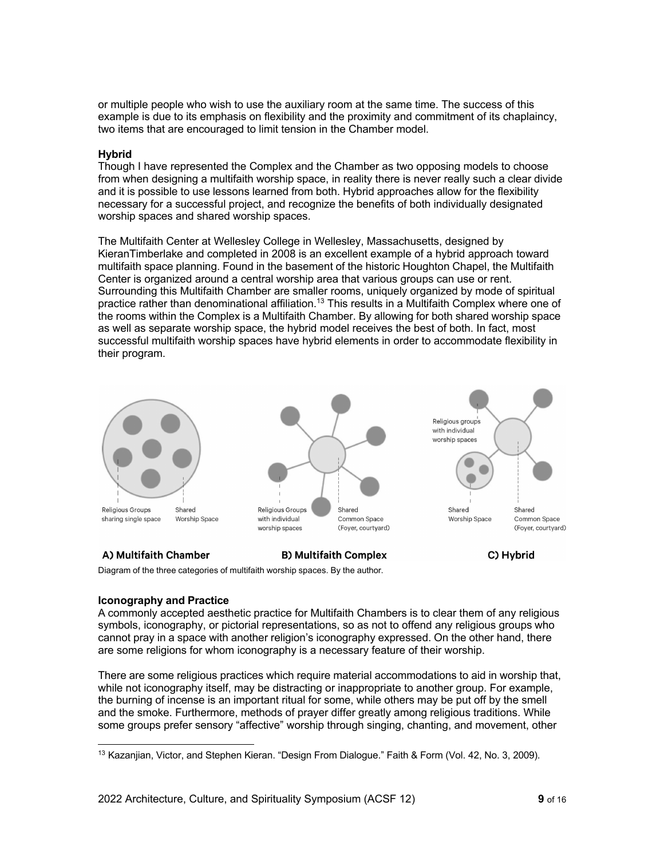or multiple people who wish to use the auxiliary room at the same time. The success of this example is due to its emphasis on flexibility and the proximity and commitment of its chaplaincy, two items that are encouraged to limit tension in the Chamber model.

## **Hybrid**

Though I have represented the Complex and the Chamber as two opposing models to choose from when designing a multifaith worship space, in reality there is never really such a clear divide and it is possible to use lessons learned from both. Hybrid approaches allow for the flexibility necessary for a successful project, and recognize the benefits of both individually designated worship spaces and shared worship spaces.

The Multifaith Center at Wellesley College in Wellesley, Massachusetts, designed by KieranTimberlake and completed in 2008 is an excellent example of a hybrid approach toward multifaith space planning. Found in the basement of the historic Houghton Chapel, the Multifaith Center is organized around a central worship area that various groups can use or rent. Surrounding this Multifaith Chamber are smaller rooms, uniquely organized by mode of spiritual practice rather than denominational affiliation.<sup>13</sup> This results in a Multifaith Complex where one of the rooms within the Complex is a Multifaith Chamber. By allowing for both shared worship space as well as separate worship space, the hybrid model receives the best of both. In fact, most successful multifaith worship spaces have hybrid elements in order to accommodate flexibility in their program.



sharing single space Worship Space





## A) Multifaith Chamber

**B) Multifaith Complex** 

C) Hybrid

Diagram of the three categories of multifaith worship spaces. By the author.

## **Iconography and Practice**

A commonly accepted aesthetic practice for Multifaith Chambers is to clear them of any religious symbols, iconography, or pictorial representations, so as not to offend any religious groups who cannot pray in a space with another religion's iconography expressed. On the other hand, there are some religions for whom iconography is a necessary feature of their worship.

There are some religious practices which require material accommodations to aid in worship that, while not iconography itself, may be distracting or inappropriate to another group. For example, the burning of incense is an important ritual for some, while others may be put off by the smell and the smoke. Furthermore, methods of prayer differ greatly among religious traditions. While some groups prefer sensory "affective" worship through singing, chanting, and movement, other

<sup>13</sup> Kazanjian, Victor, and Stephen Kieran. "Design From Dialogue." Faith & Form (Vol. 42, No. 3, 2009).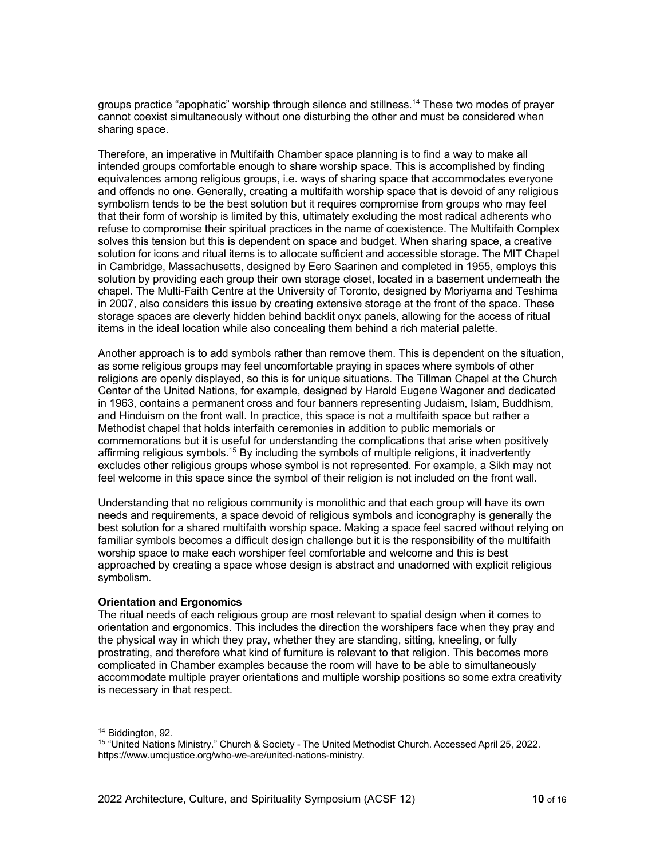groups practice "apophatic" worship through silence and stillness.14 These two modes of prayer cannot coexist simultaneously without one disturbing the other and must be considered when sharing space.

Therefore, an imperative in Multifaith Chamber space planning is to find a way to make all intended groups comfortable enough to share worship space. This is accomplished by finding equivalences among religious groups, i.e. ways of sharing space that accommodates everyone and offends no one. Generally, creating a multifaith worship space that is devoid of any religious symbolism tends to be the best solution but it requires compromise from groups who may feel that their form of worship is limited by this, ultimately excluding the most radical adherents who refuse to compromise their spiritual practices in the name of coexistence. The Multifaith Complex solves this tension but this is dependent on space and budget. When sharing space, a creative solution for icons and ritual items is to allocate sufficient and accessible storage. The MIT Chapel in Cambridge, Massachusetts, designed by Eero Saarinen and completed in 1955, employs this solution by providing each group their own storage closet, located in a basement underneath the chapel. The Multi-Faith Centre at the University of Toronto, designed by Moriyama and Teshima in 2007, also considers this issue by creating extensive storage at the front of the space. These storage spaces are cleverly hidden behind backlit onyx panels, allowing for the access of ritual items in the ideal location while also concealing them behind a rich material palette.

Another approach is to add symbols rather than remove them. This is dependent on the situation, as some religious groups may feel uncomfortable praying in spaces where symbols of other religions are openly displayed, so this is for unique situations. The Tillman Chapel at the Church Center of the United Nations, for example, designed by Harold Eugene Wagoner and dedicated in 1963, contains a permanent cross and four banners representing Judaism, Islam, Buddhism, and Hinduism on the front wall. In practice, this space is not a multifaith space but rather a Methodist chapel that holds interfaith ceremonies in addition to public memorials or commemorations but it is useful for understanding the complications that arise when positively affirming religious symbols.<sup>15</sup> By including the symbols of multiple religions, it inadvertently excludes other religious groups whose symbol is not represented. For example, a Sikh may not feel welcome in this space since the symbol of their religion is not included on the front wall.

Understanding that no religious community is monolithic and that each group will have its own needs and requirements, a space devoid of religious symbols and iconography is generally the best solution for a shared multifaith worship space. Making a space feel sacred without relying on familiar symbols becomes a difficult design challenge but it is the responsibility of the multifaith worship space to make each worshiper feel comfortable and welcome and this is best approached by creating a space whose design is abstract and unadorned with explicit religious symbolism.

## **Orientation and Ergonomics**

The ritual needs of each religious group are most relevant to spatial design when it comes to orientation and ergonomics. This includes the direction the worshipers face when they pray and the physical way in which they pray, whether they are standing, sitting, kneeling, or fully prostrating, and therefore what kind of furniture is relevant to that religion. This becomes more complicated in Chamber examples because the room will have to be able to simultaneously accommodate multiple prayer orientations and multiple worship positions so some extra creativity is necessary in that respect.

<sup>14</sup> Biddington, 92.

<sup>15</sup> "United Nations Ministry." Church & Society - The United Methodist Church. Accessed April 25, 2022. https://www.umcjustice.org/who-we-are/united-nations-ministry.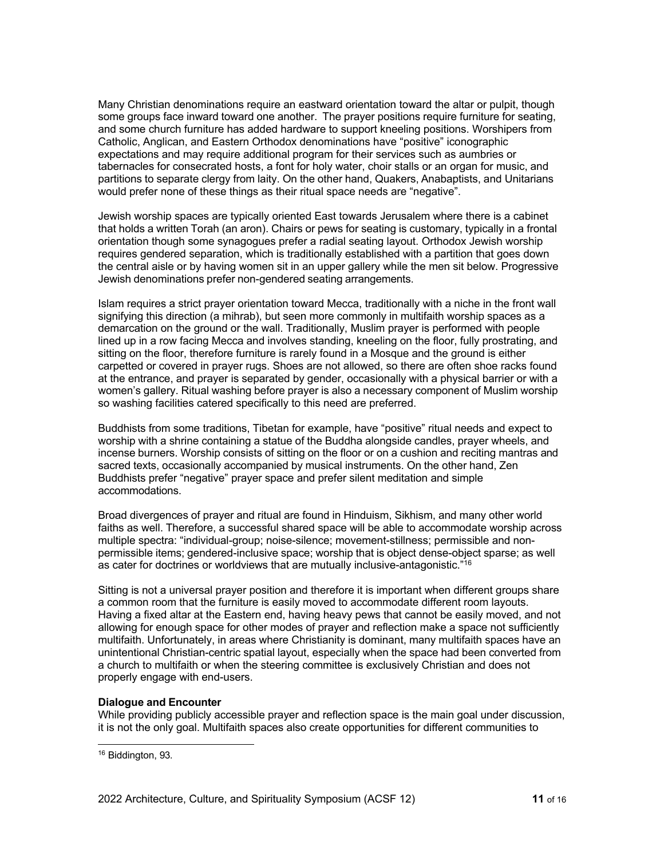Many Christian denominations require an eastward orientation toward the altar or pulpit, though some groups face inward toward one another. The prayer positions require furniture for seating, and some church furniture has added hardware to support kneeling positions. Worshipers from Catholic, Anglican, and Eastern Orthodox denominations have "positive" iconographic expectations and may require additional program for their services such as aumbries or tabernacles for consecrated hosts, a font for holy water, choir stalls or an organ for music, and partitions to separate clergy from laity. On the other hand, Quakers, Anabaptists, and Unitarians would prefer none of these things as their ritual space needs are "negative".

Jewish worship spaces are typically oriented East towards Jerusalem where there is a cabinet that holds a written Torah (an aron). Chairs or pews for seating is customary, typically in a frontal orientation though some synagogues prefer a radial seating layout. Orthodox Jewish worship requires gendered separation, which is traditionally established with a partition that goes down the central aisle or by having women sit in an upper gallery while the men sit below. Progressive Jewish denominations prefer non-gendered seating arrangements.

Islam requires a strict prayer orientation toward Mecca, traditionally with a niche in the front wall signifying this direction (a mihrab), but seen more commonly in multifaith worship spaces as a demarcation on the ground or the wall. Traditionally, Muslim prayer is performed with people lined up in a row facing Mecca and involves standing, kneeling on the floor, fully prostrating, and sitting on the floor, therefore furniture is rarely found in a Mosque and the ground is either carpetted or covered in prayer rugs. Shoes are not allowed, so there are often shoe racks found at the entrance, and prayer is separated by gender, occasionally with a physical barrier or with a women's gallery. Ritual washing before prayer is also a necessary component of Muslim worship so washing facilities catered specifically to this need are preferred.

Buddhists from some traditions, Tibetan for example, have "positive" ritual needs and expect to worship with a shrine containing a statue of the Buddha alongside candles, prayer wheels, and incense burners. Worship consists of sitting on the floor or on a cushion and reciting mantras and sacred texts, occasionally accompanied by musical instruments. On the other hand, Zen Buddhists prefer "negative" prayer space and prefer silent meditation and simple accommodations.

Broad divergences of prayer and ritual are found in Hinduism, Sikhism, and many other world faiths as well. Therefore, a successful shared space will be able to accommodate worship across multiple spectra: "individual-group; noise-silence; movement-stillness; permissible and nonpermissible items; gendered-inclusive space; worship that is object dense-object sparse; as well as cater for doctrines or worldviews that are mutually inclusive-antagonistic."16

Sitting is not a universal prayer position and therefore it is important when different groups share a common room that the furniture is easily moved to accommodate different room layouts. Having a fixed altar at the Eastern end, having heavy pews that cannot be easily moved, and not allowing for enough space for other modes of prayer and reflection make a space not sufficiently multifaith. Unfortunately, in areas where Christianity is dominant, many multifaith spaces have an unintentional Christian-centric spatial layout, especially when the space had been converted from a church to multifaith or when the steering committee is exclusively Christian and does not properly engage with end-users.

## **Dialogue and Encounter**

While providing publicly accessible prayer and reflection space is the main goal under discussion, it is not the only goal. Multifaith spaces also create opportunities for different communities to

<sup>16</sup> Biddington, 93.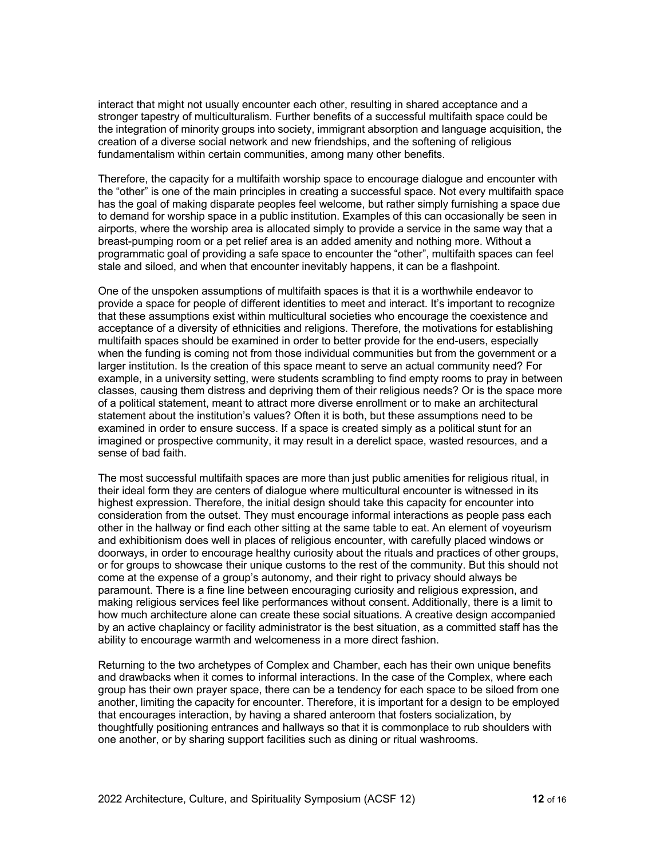interact that might not usually encounter each other, resulting in shared acceptance and a stronger tapestry of multiculturalism. Further benefits of a successful multifaith space could be the integration of minority groups into society, immigrant absorption and language acquisition, the creation of a diverse social network and new friendships, and the softening of religious fundamentalism within certain communities, among many other benefits.

Therefore, the capacity for a multifaith worship space to encourage dialogue and encounter with the "other" is one of the main principles in creating a successful space. Not every multifaith space has the goal of making disparate peoples feel welcome, but rather simply furnishing a space due to demand for worship space in a public institution. Examples of this can occasionally be seen in airports, where the worship area is allocated simply to provide a service in the same way that a breast-pumping room or a pet relief area is an added amenity and nothing more. Without a programmatic goal of providing a safe space to encounter the "other", multifaith spaces can feel stale and siloed, and when that encounter inevitably happens, it can be a flashpoint.

One of the unspoken assumptions of multifaith spaces is that it is a worthwhile endeavor to provide a space for people of different identities to meet and interact. It's important to recognize that these assumptions exist within multicultural societies who encourage the coexistence and acceptance of a diversity of ethnicities and religions. Therefore, the motivations for establishing multifaith spaces should be examined in order to better provide for the end-users, especially when the funding is coming not from those individual communities but from the government or a larger institution. Is the creation of this space meant to serve an actual community need? For example, in a university setting, were students scrambling to find empty rooms to pray in between classes, causing them distress and depriving them of their religious needs? Or is the space more of a political statement, meant to attract more diverse enrollment or to make an architectural statement about the institution's values? Often it is both, but these assumptions need to be examined in order to ensure success. If a space is created simply as a political stunt for an imagined or prospective community, it may result in a derelict space, wasted resources, and a sense of bad faith.

The most successful multifaith spaces are more than just public amenities for religious ritual, in their ideal form they are centers of dialogue where multicultural encounter is witnessed in its highest expression. Therefore, the initial design should take this capacity for encounter into consideration from the outset. They must encourage informal interactions as people pass each other in the hallway or find each other sitting at the same table to eat. An element of voyeurism and exhibitionism does well in places of religious encounter, with carefully placed windows or doorways, in order to encourage healthy curiosity about the rituals and practices of other groups, or for groups to showcase their unique customs to the rest of the community. But this should not come at the expense of a group's autonomy, and their right to privacy should always be paramount. There is a fine line between encouraging curiosity and religious expression, and making religious services feel like performances without consent. Additionally, there is a limit to how much architecture alone can create these social situations. A creative design accompanied by an active chaplaincy or facility administrator is the best situation, as a committed staff has the ability to encourage warmth and welcomeness in a more direct fashion.

Returning to the two archetypes of Complex and Chamber, each has their own unique benefits and drawbacks when it comes to informal interactions. In the case of the Complex, where each group has their own prayer space, there can be a tendency for each space to be siloed from one another, limiting the capacity for encounter. Therefore, it is important for a design to be employed that encourages interaction, by having a shared anteroom that fosters socialization, by thoughtfully positioning entrances and hallways so that it is commonplace to rub shoulders with one another, or by sharing support facilities such as dining or ritual washrooms.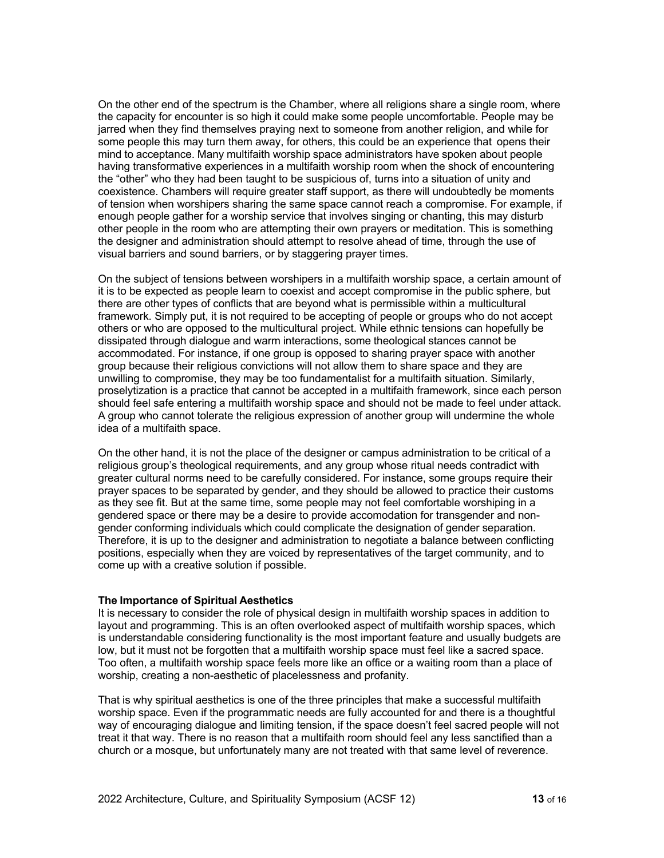On the other end of the spectrum is the Chamber, where all religions share a single room, where the capacity for encounter is so high it could make some people uncomfortable. People may be jarred when they find themselves praying next to someone from another religion, and while for some people this may turn them away, for others, this could be an experience that opens their mind to acceptance. Many multifaith worship space administrators have spoken about people having transformative experiences in a multifaith worship room when the shock of encountering the "other" who they had been taught to be suspicious of, turns into a situation of unity and coexistence. Chambers will require greater staff support, as there will undoubtedly be moments of tension when worshipers sharing the same space cannot reach a compromise. For example, if enough people gather for a worship service that involves singing or chanting, this may disturb other people in the room who are attempting their own prayers or meditation. This is something the designer and administration should attempt to resolve ahead of time, through the use of visual barriers and sound barriers, or by staggering prayer times.

On the subject of tensions between worshipers in a multifaith worship space, a certain amount of it is to be expected as people learn to coexist and accept compromise in the public sphere, but there are other types of conflicts that are beyond what is permissible within a multicultural framework. Simply put, it is not required to be accepting of people or groups who do not accept others or who are opposed to the multicultural project. While ethnic tensions can hopefully be dissipated through dialogue and warm interactions, some theological stances cannot be accommodated. For instance, if one group is opposed to sharing prayer space with another group because their religious convictions will not allow them to share space and they are unwilling to compromise, they may be too fundamentalist for a multifaith situation. Similarly, proselytization is a practice that cannot be accepted in a multifaith framework, since each person should feel safe entering a multifaith worship space and should not be made to feel under attack. A group who cannot tolerate the religious expression of another group will undermine the whole idea of a multifaith space.

On the other hand, it is not the place of the designer or campus administration to be critical of a religious group's theological requirements, and any group whose ritual needs contradict with greater cultural norms need to be carefully considered. For instance, some groups require their prayer spaces to be separated by gender, and they should be allowed to practice their customs as they see fit. But at the same time, some people may not feel comfortable worshiping in a gendered space or there may be a desire to provide accomodation for transgender and nongender conforming individuals which could complicate the designation of gender separation. Therefore, it is up to the designer and administration to negotiate a balance between conflicting positions, especially when they are voiced by representatives of the target community, and to come up with a creative solution if possible.

#### **The Importance of Spiritual Aesthetics**

It is necessary to consider the role of physical design in multifaith worship spaces in addition to layout and programming. This is an often overlooked aspect of multifaith worship spaces, which is understandable considering functionality is the most important feature and usually budgets are low, but it must not be forgotten that a multifaith worship space must feel like a sacred space. Too often, a multifaith worship space feels more like an office or a waiting room than a place of worship, creating a non-aesthetic of placelessness and profanity.

That is why spiritual aesthetics is one of the three principles that make a successful multifaith worship space. Even if the programmatic needs are fully accounted for and there is a thoughtful way of encouraging dialogue and limiting tension, if the space doesn't feel sacred people will not treat it that way. There is no reason that a multifaith room should feel any less sanctified than a church or a mosque, but unfortunately many are not treated with that same level of reverence.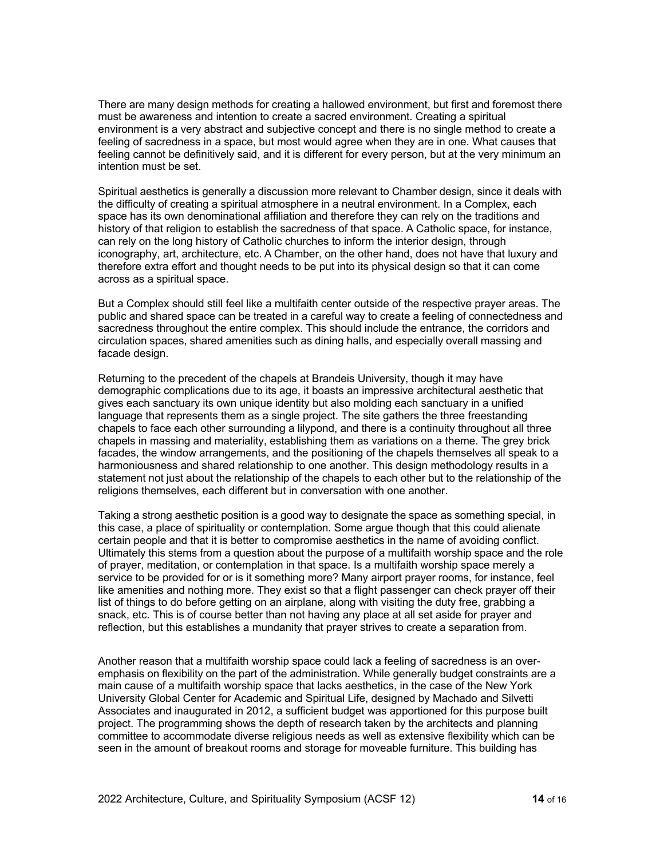There are many design methods for creating a hallowed environment, but first and foremost there must be awareness and intention to create a sacred environment. Creating a spiritual environment is a very abstract and subjective concept and there is no single method to create a feeling of sacredness in a space, but most would agree when they are in one. What causes that feeling cannot be definitively said, and it is different for every person, but at the very minimum an intention must be set.

Spiritual aesthetics is generally a discussion more relevant to Chamber design, since it deals with the difficulty of creating a spiritual atmosphere in a neutral environment. In a Complex, each space has its own denominational affiliation and therefore they can rely on the traditions and history of that religion to establish the sacredness of that space. A Catholic space, for instance, can rely on the long history of Catholic churches to inform the interior design, through iconography, art, architecture, etc. A Chamber, on the other hand, does not have that luxury and therefore extra effort and thought needs to be put into its physical design so that it can come across as a spiritual space.

But a Complex should still feel like a multifaith center outside of the respective prayer areas. The public and shared space can be treated in a careful way to create a feeling of connectedness and sacredness throughout the entire complex. This should include the entrance, the corridors and circulation spaces, shared amenities such as dining halls, and especially overall massing and facade design.

Returning to the precedent of the chapels at Brandeis University, though it may have demographic complications due to its age, it boasts an impressive architectural aesthetic that gives each sanctuary its own unique identity but also molding each sanctuary in a unified language that represents them as a single project. The site gathers the three freestanding chapels to face each other surrounding a lilypond, and there is a continuity throughout all three chapels in massing and materiality, establishing them as variations on a theme. The grey brick facades, the window arrangements, and the positioning of the chapels themselves all speak to a harmoniousness and shared relationship to one another. This design methodology results in a statement not just about the relationship of the chapels to each other but to the relationship of the religions themselves, each different but in conversation with one another.

Taking a strong aesthetic position is a good way to designate the space as something special, in this case, a place of spirituality or contemplation. Some argue though that this could alienate certain people and that it is better to compromise aesthetics in the name of avoiding conflict. Ultimately this stems from a question about the purpose of a multifaith worship space and the role of prayer, meditation, or contemplation in that space. Is a multifaith worship space merely a service to be provided for or is it something more? Many airport prayer rooms, for instance, feel like amenities and nothing more. They exist so that a flight passenger can check prayer off their list of things to do before getting on an airplane, along with visiting the duty free, grabbing a snack, etc. This is of course better than not having any place at all set aside for prayer and reflection, but this establishes a mundanity that prayer strives to create a separation from.

Another reason that a multifaith worship space could lack a feeling of sacredness is an overemphasis on flexibility on the part of the administration. While generally budget constraints are a main cause of a multifaith worship space that lacks aesthetics, in the case of the New York University Global Center for Academic and Spiritual Life, designed by Machado and Silvetti Associates and inaugurated in 2012, a sufficient budget was apportioned for this purpose built project. The programming shows the depth of research taken by the architects and planning committee to accommodate diverse religious needs as well as extensive flexibility which can be seen in the amount of breakout rooms and storage for moveable furniture. This building has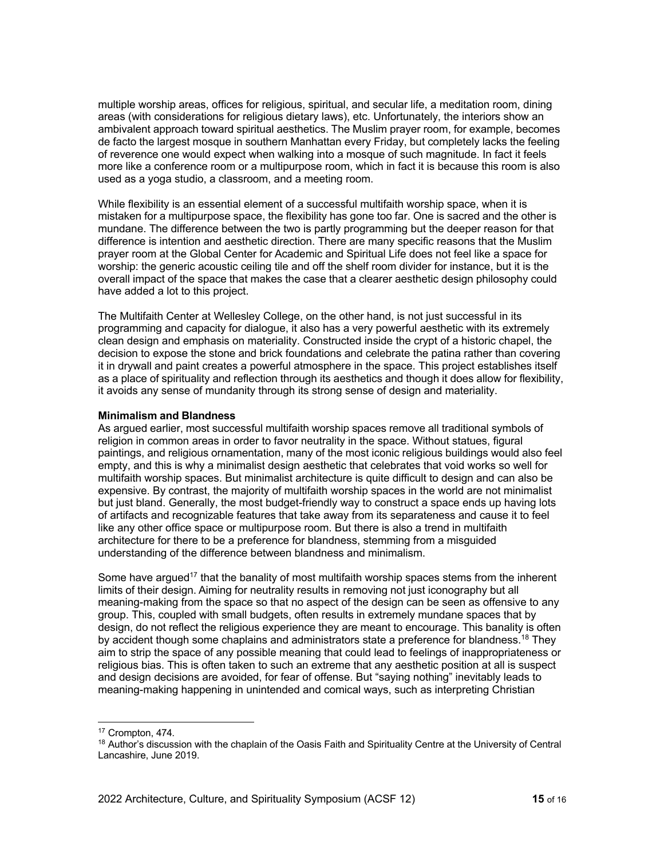multiple worship areas, offices for religious, spiritual, and secular life, a meditation room, dining areas (with considerations for religious dietary laws), etc. Unfortunately, the interiors show an ambivalent approach toward spiritual aesthetics. The Muslim prayer room, for example, becomes de facto the largest mosque in southern Manhattan every Friday, but completely lacks the feeling of reverence one would expect when walking into a mosque of such magnitude. In fact it feels more like a conference room or a multipurpose room, which in fact it is because this room is also used as a yoga studio, a classroom, and a meeting room.

While flexibility is an essential element of a successful multifaith worship space, when it is mistaken for a multipurpose space, the flexibility has gone too far. One is sacred and the other is mundane. The difference between the two is partly programming but the deeper reason for that difference is intention and aesthetic direction. There are many specific reasons that the Muslim prayer room at the Global Center for Academic and Spiritual Life does not feel like a space for worship: the generic acoustic ceiling tile and off the shelf room divider for instance, but it is the overall impact of the space that makes the case that a clearer aesthetic design philosophy could have added a lot to this project.

The Multifaith Center at Wellesley College, on the other hand, is not just successful in its programming and capacity for dialogue, it also has a very powerful aesthetic with its extremely clean design and emphasis on materiality. Constructed inside the crypt of a historic chapel, the decision to expose the stone and brick foundations and celebrate the patina rather than covering it in drywall and paint creates a powerful atmosphere in the space. This project establishes itself as a place of spirituality and reflection through its aesthetics and though it does allow for flexibility, it avoids any sense of mundanity through its strong sense of design and materiality.

#### **Minimalism and Blandness**

As argued earlier, most successful multifaith worship spaces remove all traditional symbols of religion in common areas in order to favor neutrality in the space. Without statues, figural paintings, and religious ornamentation, many of the most iconic religious buildings would also feel empty, and this is why a minimalist design aesthetic that celebrates that void works so well for multifaith worship spaces. But minimalist architecture is quite difficult to design and can also be expensive. By contrast, the majority of multifaith worship spaces in the world are not minimalist but just bland. Generally, the most budget-friendly way to construct a space ends up having lots of artifacts and recognizable features that take away from its separateness and cause it to feel like any other office space or multipurpose room. But there is also a trend in multifaith architecture for there to be a preference for blandness, stemming from a misguided understanding of the difference between blandness and minimalism.

Some have argued<sup>17</sup> that the banality of most multifaith worship spaces stems from the inherent limits of their design. Aiming for neutrality results in removing not just iconography but all meaning-making from the space so that no aspect of the design can be seen as offensive to any group. This, coupled with small budgets, often results in extremely mundane spaces that by design, do not reflect the religious experience they are meant to encourage. This banality is often by accident though some chaplains and administrators state a preference for blandness.<sup>18</sup> They aim to strip the space of any possible meaning that could lead to feelings of inappropriateness or religious bias. This is often taken to such an extreme that any aesthetic position at all is suspect and design decisions are avoided, for fear of offense. But "saying nothing" inevitably leads to meaning-making happening in unintended and comical ways, such as interpreting Christian

<sup>17</sup> Crompton, 474.

<sup>&</sup>lt;sup>18</sup> Author's discussion with the chaplain of the Oasis Faith and Spirituality Centre at the University of Central Lancashire, June 2019.